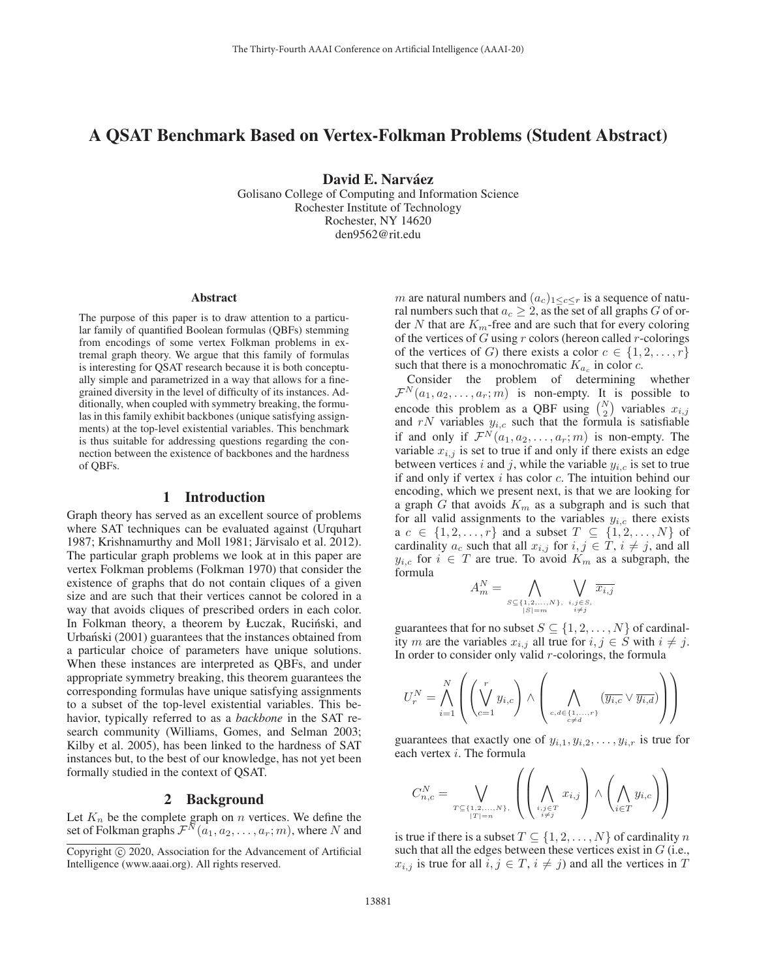# A QSAT Benchmark Based on Vertex-Folkman Problems (Student Abstract)

David E. Narváez

Golisano College of Computing and Information Science Rochester Institute of Technology Rochester, NY 14620 den9562@rit.edu

#### Abstract

The purpose of this paper is to draw attention to a particular family of quantified Boolean formulas (QBFs) stemming from encodings of some vertex Folkman problems in extremal graph theory. We argue that this family of formulas is interesting for QSAT research because it is both conceptually simple and parametrized in a way that allows for a finegrained diversity in the level of difficulty of its instances. Additionally, when coupled with symmetry breaking, the formulas in this family exhibit backbones (unique satisfying assignments) at the top-level existential variables. This benchmark is thus suitable for addressing questions regarding the connection between the existence of backbones and the hardness of QBFs.

### 1 Introduction

Graph theory has served as an excellent source of problems where SAT techniques can be evaluated against (Urquhart 1987; Krishnamurthy and Moll 1981; Järvisalo et al. 2012). The particular graph problems we look at in this paper are vertex Folkman problems (Folkman 1970) that consider the existence of graphs that do not contain cliques of a given size and are such that their vertices cannot be colored in a way that avoids cliques of prescribed orders in each color. In Folkman theory, a theorem by Łuczak, Ruciński, and Urbański (2001) guarantees that the instances obtained from a particular choice of parameters have unique solutions. When these instances are interpreted as QBFs, and under appropriate symmetry breaking, this theorem guarantees the corresponding formulas have unique satisfying assignments to a subset of the top-level existential variables. This behavior, typically referred to as a *backbone* in the SAT research community (Williams, Gomes, and Selman 2003; Kilby et al. 2005), has been linked to the hardness of SAT instances but, to the best of our knowledge, has not yet been formally studied in the context of QSAT.

## 2 Background

Let  $K_n$  be the complete graph on n vertices. We define the set of Folkman graphs  $\mathcal{F}^{\tilde{N}}(a_1, a_2, \ldots, a_r; m)$ , where N and m are natural numbers and  $(a_c)_{1 \leq c \leq r}$  is a sequence of natural numbers such that  $a_c \geq 2$ , as the set of all graphs G of order N that are  $K<sub>m</sub>$ -free and are such that for every coloring of the vertices of  $G$  using  $r$  colors (hereon called  $r$ -colorings of the vertices of G) there exists a color  $c \in \{1, 2, ..., r\}$ such that there is a monochromatic  $K_{a_c}$  in color c.

Consider the problem of determining whether  $\mathcal{F}^N(a_1, a_2, \ldots, a_r; m)$  is non-empty. It is possible to encode this problem as a QBF using  $\binom{N}{2}$  $\binom{N}{2}$  variables  $x_{i,j}$ and  $rN$  variables  $y_{i,c}$  such that the formula is satisfiable if and only if  $\mathcal{F}^N(a_1, a_2, \ldots, a_r; m)$  is non-empty. The variable  $x_{i,j}$  is set to true if and only if there exists an edge between vertices i and j, while the variable  $y_{i,c}$  is set to true if and only if vertex  $i$  has color  $c$ . The intuition behind our encoding, which we present next, is that we are looking for a graph G that avoids  $K_m$  as a subgraph and is such that for all valid assignments to the variables  $y_{i,c}$  there exists a  $c \in \{1, 2, \ldots, r\}$  and a subset  $T \subseteq \{1, 2, \ldots, N\}$  of cardinality  $a_c$  such that all  $x_{i,j}$  for  $i, j \in T$ ,  $i \neq j$ , and all  $y_{i,c}$  for  $i \in T$  are true. To avoid  $K_m$  as a subgraph, the formula

$$
A_m^N = \bigwedge_{\substack{S \subseteq \{1, 2, \dots, N\}, \\ |S| = m}} \bigvee_{\substack{i,j \in S, \\ i \neq j}}
$$

guarantees that for no subset  $S \subseteq \{1, 2, ..., N\}$  of cardinality m are the variables  $x_{i,j}$  all true for  $i, j \in S$  with  $i \neq j$ . In order to consider only valid  $r$ -colorings, the formula

$$
U_r^N = \bigwedge_{i=1}^N \left( \left( \bigvee_{c=1}^r y_{i,c} \right) \wedge \left( \bigwedge_{c,d \in \{1,\ldots,r\} \atop c \neq d} (\overline{y_{i,c}} \vee \overline{y_{i,d}}) \right) \right)
$$

guarantees that exactly one of  $y_{i,1}, y_{i,2}, \ldots, y_{i,r}$  is true for each vertex i. The formula

$$
C_{n,c}^N = \bigvee_{\substack{T \subseteq \{1,2,\ldots,N\}, \\ |T| = n}} \left( \left( \bigwedge_{\substack{i,j \in T \\ i \neq j}} x_{i,j} \right) \wedge \left( \bigwedge_{i \in T} y_{i,c} \right) \right)
$$

is true if there is a subset  $T \subseteq \{1, 2, ..., N\}$  of cardinality n such that all the edges between these vertices exist in  $G$  (i.e.,  $x_{i,j}$  is true for all  $i, j \in T$ ,  $i \neq j$ ) and all the vertices in T

Copyright  $\odot$  2020, Association for the Advancement of Artificial Intelligence (www.aaai.org). All rights reserved.